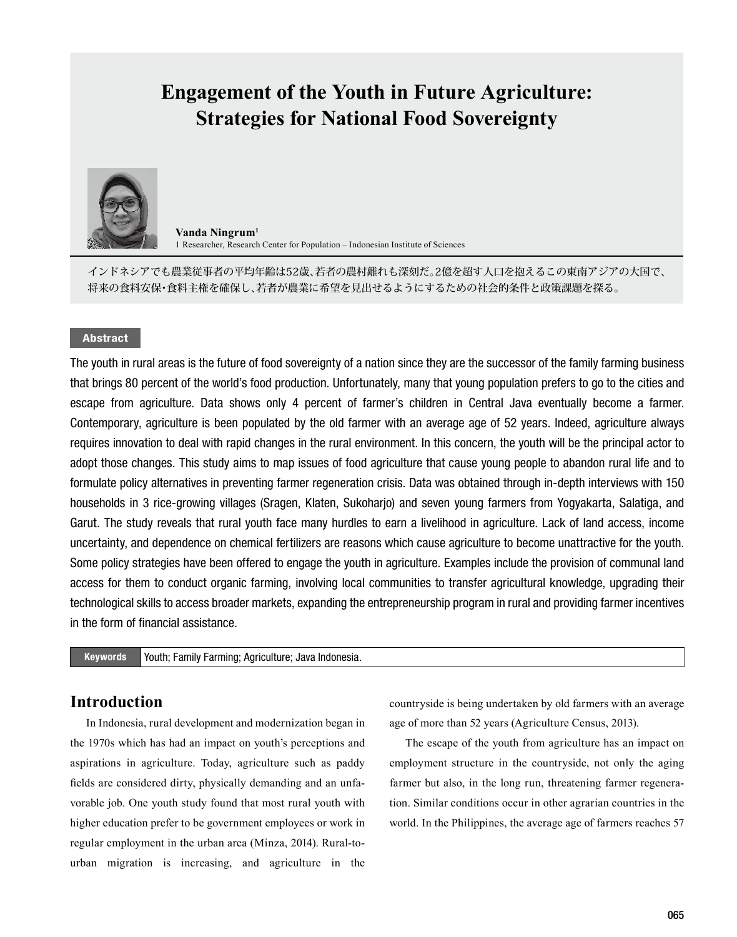# **Engagement of the Youth in Future Agriculture: Strategies for National Food Sovereignty**



**Vanda Ningrum1** 1 Researcher, Research Center for Population – Indonesian Institute of Sciences

インドネシアでも農業従事者の平均年齢は52歳、若者の農村離れも深刻だ。2億を超す人口を抱えるこの東南アジアの大国で、 将来の食料安保・食料主権を確保し、若者が農業に希望を見出せるようにするための社会的条件と政策課題を探る。

#### Abstract

The youth in rural areas is the future of food sovereignty of a nation since they are the successor of the family farming business that brings 80 percent of the world's food production. Unfortunately, many that young population prefers to go to the cities and escape from agriculture. Data shows only 4 percent of farmer's children in Central Java eventually become a farmer. Contemporary, agriculture is been populated by the old farmer with an average age of 52 years. Indeed, agriculture always requires innovation to deal with rapid changes in the rural environment. In this concern, the youth will be the principal actor to adopt those changes. This study aims to map issues of food agriculture that cause young people to abandon rural life and to formulate policy alternatives in preventing farmer regeneration crisis. Data was obtained through in-depth interviews with 150 households in 3 rice-growing villages (Sragen, Klaten, Sukoharjo) and seven young farmers from Yogyakarta, Salatiga, and Garut. The study reveals that rural youth face many hurdles to earn a livelihood in agriculture. Lack of land access, income uncertainty, and dependence on chemical fertilizers are reasons which cause agriculture to become unattractive for the youth. Some policy strategies have been offered to engage the youth in agriculture. Examples include the provision of communal land access for them to conduct organic farming, involving local communities to transfer agricultural knowledge, upgrading their technological skills to access broader markets, expanding the entrepreneurship program in rural and providing farmer incentives in the form of financial assistance.

Keywords Youth; Family Farming; Agriculture; Java Indonesia.

### **Introduction**

In Indonesia, rural development and modernization began in the 1970s which has had an impact on youth's perceptions and aspirations in agriculture. Today, agriculture such as paddy fields are considered dirty, physically demanding and an unfavorable job. One youth study found that most rural youth with higher education prefer to be government employees or work in regular employment in the urban area (Minza, 2014). Rural-tourban migration is increasing, and agriculture in the

countryside is being undertaken by old farmers with an average age of more than 52 years (Agriculture Census, 2013).

The escape of the youth from agriculture has an impact on employment structure in the countryside, not only the aging farmer but also, in the long run, threatening farmer regeneration. Similar conditions occur in other agrarian countries in the world. In the Philippines, the average age of farmers reaches 57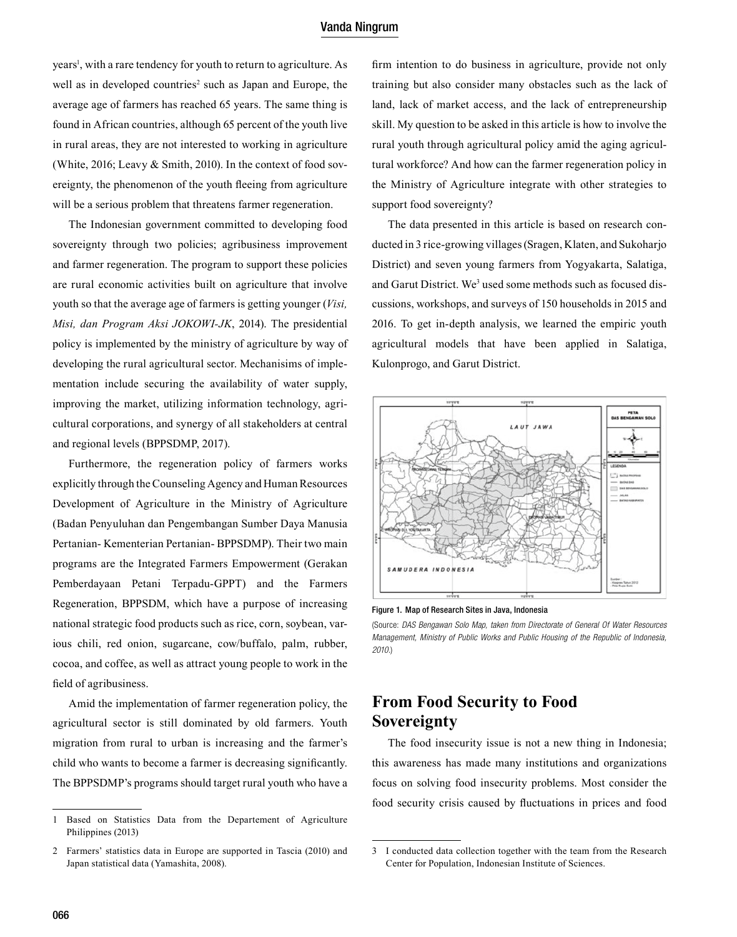#### Vanda Ningrum

years<sup>1</sup>, with a rare tendency for youth to return to agriculture. As well as in developed countries<sup>2</sup> such as Japan and Europe, the average age of farmers has reached 65 years. The same thing is found in African countries, although 65 percent of the youth live in rural areas, they are not interested to working in agriculture (White, 2016; Leavy & Smith, 2010). In the context of food sovereignty, the phenomenon of the youth fleeing from agriculture will be a serious problem that threatens farmer regeneration.

 The Indonesian government committed to developing food sovereignty through two policies; agribusiness improvement and farmer regeneration. The program to support these policies are rural economic activities built on agriculture that involve youth so that the average age of farmers is getting younger (*Visi, Misi, dan Program Aksi JOKOWI-JK*, 2014). The presidential policy is implemented by the ministry of agriculture by way of developing the rural agricultural sector. Mechanisims of implementation include securing the availability of water supply, improving the market, utilizing information technology, agricultural corporations, and synergy of all stakeholders at central and regional levels (BPPSDMP, 2017).

 Furthermore, the regeneration policy of farmers works explicitly through the Counseling Agency and Human Resources Development of Agriculture in the Ministry of Agriculture (Badan Penyuluhan dan Pengembangan Sumber Daya Manusia Pertanian- Kementerian Pertanian- BPPSDMP). Their two main programs are the Integrated Farmers Empowerment (Gerakan Pemberdayaan Petani Terpadu-GPPT) and the Farmers Regeneration, BPPSDM, which have a purpose of increasing national strategic food products such as rice, corn, soybean, various chili, red onion, sugarcane, cow/buffalo, palm, rubber, cocoa, and coffee, as well as attract young people to work in the field of agribusiness.

 Amid the implementation of farmer regeneration policy, the agricultural sector is still dominated by old farmers. Youth migration from rural to urban is increasing and the farmer's child who wants to become a farmer is decreasing significantly. The BPPSDMP's programs should target rural youth who have a

firm intention to do business in agriculture, provide not only training but also consider many obstacles such as the lack of land, lack of market access, and the lack of entrepreneurship skill. My question to be asked in this article is how to involve the rural youth through agricultural policy amid the aging agricultural workforce? And how can the farmer regeneration policy in the Ministry of Agriculture integrate with other strategies to support food sovereignty?

 The data presented in this article is based on research conducted in 3 rice-growing villages (Sragen, Klaten, and Sukoharjo District) and seven young farmers from Yogyakarta, Salatiga, and Garut District. We<sup>3</sup> used some methods such as focused discussions, workshops, and surveys of 150 households in 2015 and 2016. To get in-depth analysis, we learned the empiric youth agricultural models that have been applied in Salatiga, Kulonprogo, and Garut District.



Figure 1. Map of Research Sites in Java, Indonesia

(Source: *DAS Bengawan Solo Map, taken from Directorate of General Of Water Resources Management, Ministry of Public Works and Public Housing of the Republic of Indonesia, 2010.*)

# **From Food Security to Food Sovereignty**

 The food insecurity issue is not a new thing in Indonesia; this awareness has made many institutions and organizations focus on solving food insecurity problems. Most consider the food security crisis caused by fluctuations in prices and food

<sup>1</sup> Based on Statistics Data from the Departement of Agriculture Philippines (2013)

<sup>2</sup> Farmers' statistics data in Europe are supported in Tascia (2010) and Japan statistical data (Yamashita, 2008).

<sup>3</sup> I conducted data collection together with the team from the Research Center for Population, Indonesian Institute of Sciences.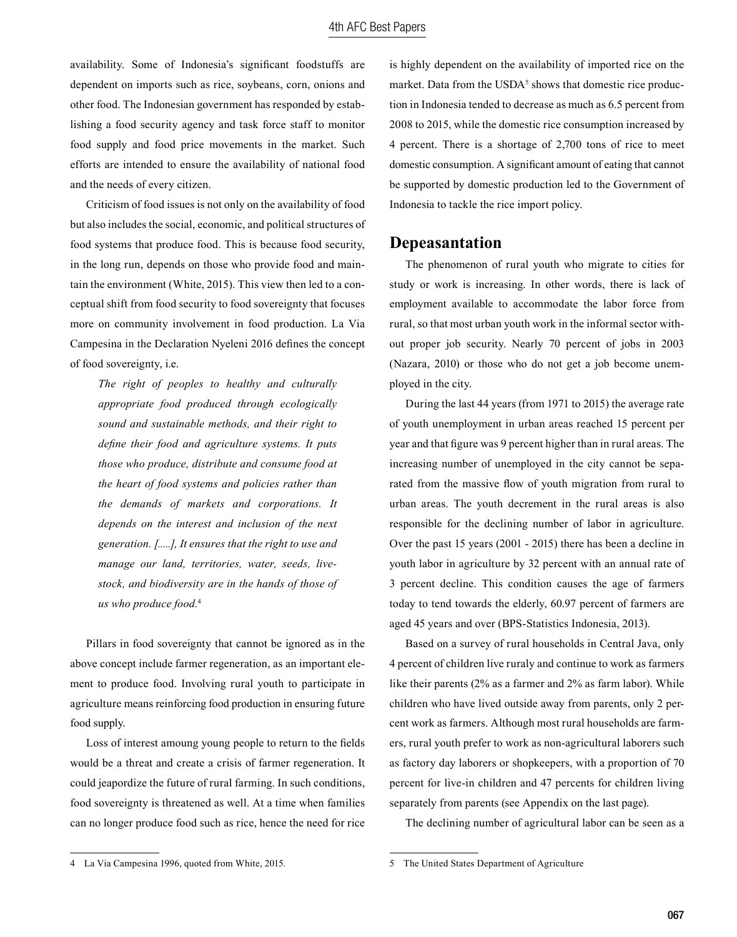availability. Some of Indonesia's significant foodstuffs are dependent on imports such as rice, soybeans, corn, onions and other food. The Indonesian government has responded by establishing a food security agency and task force staff to monitor food supply and food price movements in the market. Such efforts are intended to ensure the availability of national food and the needs of every citizen.

Criticism of food issues is not only on the availability of food but also includes the social, economic, and political structures of food systems that produce food. This is because food security, in the long run, depends on those who provide food and maintain the environment (White, 2015). This view then led to a conceptual shift from food security to food sovereignty that focuses more on community involvement in food production. La Via Campesina in the Declaration Nyeleni 2016 defines the concept of food sovereignty, i.e.

*The right of peoples to healthy and culturally appropriate food produced through ecologically sound and sustainable methods, and their right to define their food and agriculture systems. It puts those who produce, distribute and consume food at the heart of food systems and policies rather than the demands of markets and corporations. It depends on the interest and inclusion of the next generation. [.....], It ensures that the right to use and manage our land, territories, water, seeds, livestock, and biodiversity are in the hands of those of us who produce food.*<sup>4</sup>

Pillars in food sovereignty that cannot be ignored as in the above concept include farmer regeneration, as an important element to produce food. Involving rural youth to participate in agriculture means reinforcing food production in ensuring future food supply.

Loss of interest amoung young people to return to the fields would be a threat and create a crisis of farmer regeneration. It could jeapordize the future of rural farming. In such conditions, food sovereignty is threatened as well. At a time when families can no longer produce food such as rice, hence the need for rice is highly dependent on the availability of imported rice on the market. Data from the  $\text{USDA}^5$  shows that domestic rice production in Indonesia tended to decrease as much as 6.5 percent from 2008 to 2015, while the domestic rice consumption increased by 4 percent. There is a shortage of 2,700 tons of rice to meet domestic consumption. A significant amount of eating that cannot be supported by domestic production led to the Government of Indonesia to tackle the rice import policy.

#### **Depeasantation**

The phenomenon of rural youth who migrate to cities for study or work is increasing. In other words, there is lack of employment available to accommodate the labor force from rural, so that most urban youth work in the informal sector without proper job security. Nearly 70 percent of jobs in 2003 (Nazara, 2010) or those who do not get a job become unemployed in the city.

During the last 44 years (from 1971 to 2015) the average rate of youth unemployment in urban areas reached 15 percent per year and that figure was 9 percent higher than in rural areas. The increasing number of unemployed in the city cannot be separated from the massive flow of youth migration from rural to urban areas. The youth decrement in the rural areas is also responsible for the declining number of labor in agriculture. Over the past 15 years (2001 - 2015) there has been a decline in youth labor in agriculture by 32 percent with an annual rate of 3 percent decline. This condition causes the age of farmers today to tend towards the elderly, 60.97 percent of farmers are aged 45 years and over (BPS-Statistics Indonesia, 2013).

Based on a survey of rural households in Central Java, only 4 percent of children live ruraly and continue to work as farmers like their parents (2% as a farmer and 2% as farm labor). While children who have lived outside away from parents, only 2 percent work as farmers. Although most rural households are farmers, rural youth prefer to work as non-agricultural laborers such as factory day laborers or shopkeepers, with a proportion of 70 percent for live-in children and 47 percents for children living separately from parents (see Appendix on the last page).

The declining number of agricultural labor can be seen as a

<sup>4</sup> La Via Campesina 1996, quoted from White, 2015.

<sup>5</sup> The United States Department of Agriculture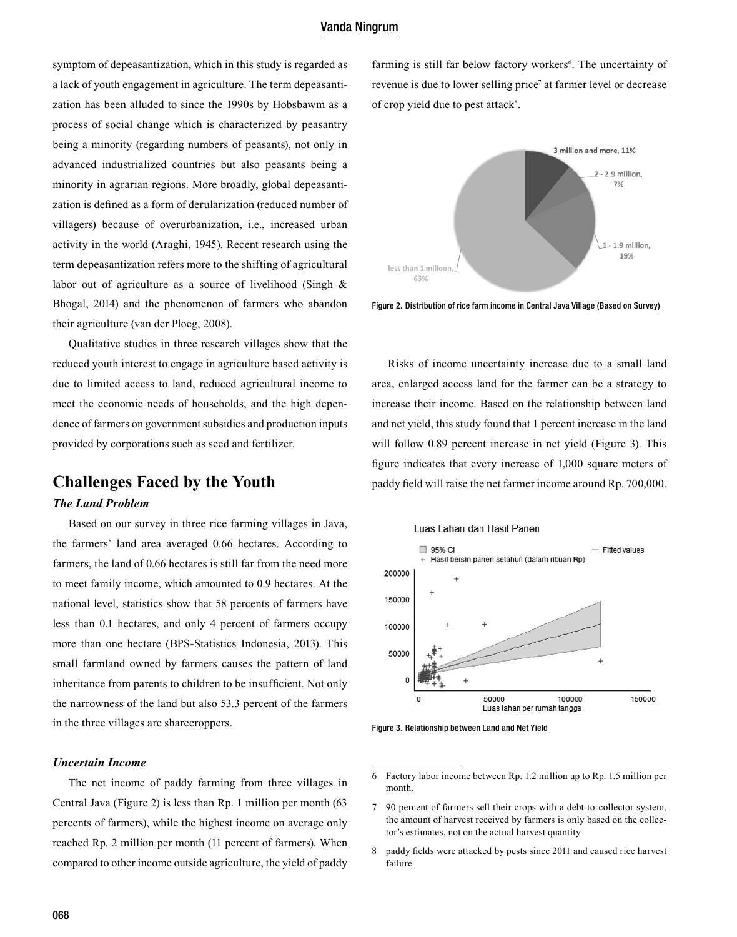#### Vanda Ningrum

symptom of depeasantization, which in this study is regarded as a lack of youth engagement in agriculture. The term depeasantization has been alluded to since the 1990s by Hobsbawm as a process of social change which is characterized by peasantry being a minority (regarding numbers of peasants), not only in advanced industrialized countries but also peasants being a minority in agrarian regions. More broadly, global depeasantization is defined as a form of derularization (reduced number of villagers) because of overurbanization, i.e., increased urban activity in the world (Araghi, 1945). Recent research using the term depeasantization refers more to the shifting of agricultural labor out of agriculture as a source of livelihood (Singh & Bhogal, 2014) and the phenomenon of farmers who abandon their agriculture (van der Ploeg, 2008).

Qualitative studies in three research villages show that the reduced youth interest to engage in agriculture based activity is due to limited access to land, reduced agricultural income to meet the economic needs of households, and the high dependence of farmers on government subsidies and production inputs provided by corporations such as seed and fertilizer.

# **Challenges Faced by the Youth** *The Land Problem*

Based on our survey in three rice farming villages in Java, the farmers' land area averaged 0.66 hectares. According to farmers, the land of 0.66 hectares is still far from the need more to meet family income, which amounted to 0.9 hectares. At the national level, statistics show that 58 percents of farmers have less than 0.1 hectares, and only 4 percent of farmers occupy more than one hectare (BPS-Statistics Indonesia, 2013). This small farmland owned by farmers causes the pattern of land inheritance from parents to children to be insufficient. Not only the narrowness of the land but also 53.3 percent of the farmers in the three villages are sharecroppers.

#### *Uncertain Income*

The net income of paddy farming from three villages in Central Java (Figure 2) is less than Rp. 1 million per month (63 percents of farmers), while the highest income on average only reached Rp. 2 million per month (11 percent of farmers). When compared to other income outside agriculture, the yield of paddy

farming is still far below factory workers<sup>6</sup>. The uncertainty of revenue is due to lower selling price<sup>7</sup> at farmer level or decrease of crop yield due to pest attack<sup>8</sup>.



Figure 2. Distribution of rice farm income in Central Java Village (Based on Survey)

Risks of income uncertainty increase due to a small land area, enlarged access land for the farmer can be a strategy to increase their income. Based on the relationship between land and net yield, this study found that 1 percent increase in the land will follow 0.89 percent increase in net yield (Figure 3). This figure indicates that every increase of 1,000 square meters of paddy field will raise the net farmer income around Rp. 700,000.



Figure 3. Relationship between Land and Net Yield

<sup>6</sup> Factory labor income between Rp. 1.2 million up to Rp. 1.5 million per month.

<sup>7</sup> 90 percent of farmers sell their crops with a debt-to-collector system, the amount of harvest received by farmers is only based on the collector's estimates, not on the actual harvest quantity

<sup>8</sup> paddy fields were attacked by pests since 2011 and caused rice harvest failure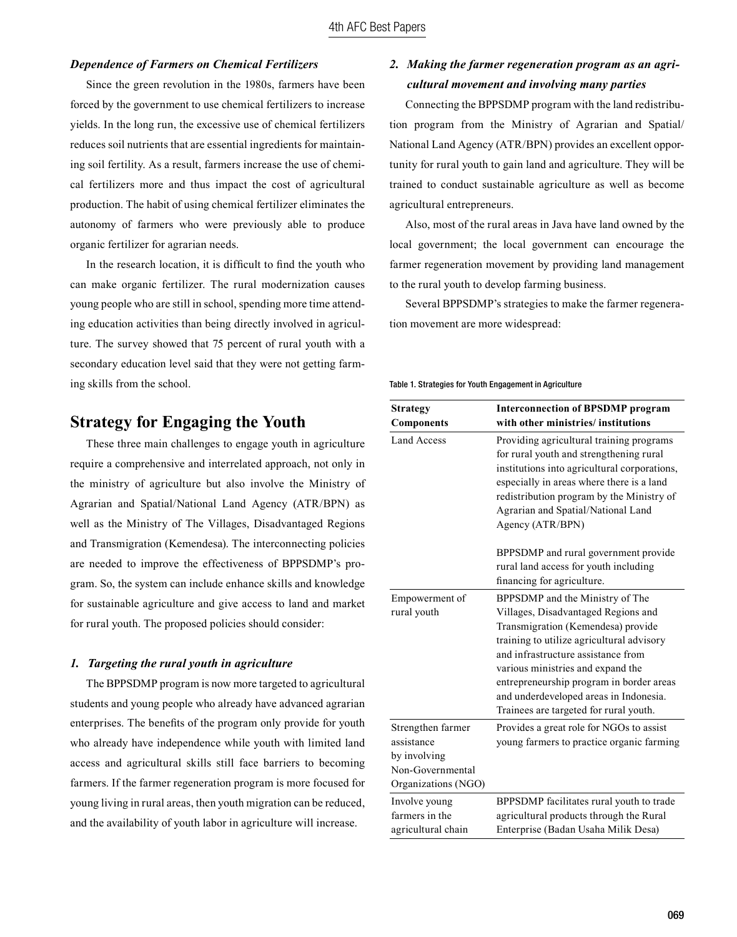#### *Dependence of Farmers on Chemical Fertilizers*

Since the green revolution in the 1980s, farmers have been forced by the government to use chemical fertilizers to increase yields. In the long run, the excessive use of chemical fertilizers reduces soil nutrients that are essential ingredients for maintaining soil fertility. As a result, farmers increase the use of chemical fertilizers more and thus impact the cost of agricultural production. The habit of using chemical fertilizer eliminates the autonomy of farmers who were previously able to produce organic fertilizer for agrarian needs.

In the research location, it is difficult to find the youth who can make organic fertilizer. The rural modernization causes young people who are still in school, spending more time attending education activities than being directly involved in agriculture. The survey showed that 75 percent of rural youth with a secondary education level said that they were not getting farming skills from the school.

## **Strategy for Engaging the Youth**

These three main challenges to engage youth in agriculture require a comprehensive and interrelated approach, not only in the ministry of agriculture but also involve the Ministry of Agrarian and Spatial/National Land Agency (ATR/BPN) as well as the Ministry of The Villages, Disadvantaged Regions and Transmigration (Kemendesa). The interconnecting policies are needed to improve the effectiveness of BPPSDMP's program. So, the system can include enhance skills and knowledge for sustainable agriculture and give access to land and market for rural youth. The proposed policies should consider:

#### *1. Targeting the rural youth in agriculture*

The BPPSDMP program is now more targeted to agricultural students and young people who already have advanced agrarian enterprises. The benefits of the program only provide for youth who already have independence while youth with limited land access and agricultural skills still face barriers to becoming farmers. If the farmer regeneration program is more focused for young living in rural areas, then youth migration can be reduced, and the availability of youth labor in agriculture will increase.

### *2. Making the farmer regeneration program as an agricultural movement and involving many parties*

Connecting the BPPSDMP program with the land redistribution program from the Ministry of Agrarian and Spatial/ National Land Agency (ATR/BPN) provides an excellent opportunity for rural youth to gain land and agriculture. They will be trained to conduct sustainable agriculture as well as become agricultural entrepreneurs.

Also, most of the rural areas in Java have land owned by the local government; the local government can encourage the farmer regeneration movement by providing land management to the rural youth to develop farming business.

Several BPPSDMP's strategies to make the farmer regeneration movement are more widespread:

#### Table 1. Strategies for Youth Engagement in Agriculture

| <b>Strategy</b>                                                                            | <b>Interconnection of BPSDMP program</b><br>with other ministries/institutions                                                                                                                                                                                                                                                                                       |
|--------------------------------------------------------------------------------------------|----------------------------------------------------------------------------------------------------------------------------------------------------------------------------------------------------------------------------------------------------------------------------------------------------------------------------------------------------------------------|
| <b>Components</b>                                                                          |                                                                                                                                                                                                                                                                                                                                                                      |
| <b>Land Access</b>                                                                         | Providing agricultural training programs<br>for rural youth and strengthening rural<br>institutions into agricultural corporations,<br>especially in areas where there is a land<br>redistribution program by the Ministry of<br>Agrarian and Spatial/National Land<br>Agency (ATR/BPN)                                                                              |
|                                                                                            | BPPSDMP and rural government provide<br>rural land access for youth including<br>financing for agriculture.                                                                                                                                                                                                                                                          |
| Empowerment of<br>rural youth                                                              | BPPSDMP and the Ministry of The<br>Villages, Disadvantaged Regions and<br>Transmigration (Kemendesa) provide<br>training to utilize agricultural advisory<br>and infrastructure assistance from<br>various ministries and expand the<br>entrepreneurship program in border areas<br>and underdeveloped areas in Indonesia.<br>Trainees are targeted for rural youth. |
| Strengthen farmer<br>assistance<br>by involving<br>Non-Governmental<br>Organizations (NGO) | Provides a great role for NGOs to assist<br>young farmers to practice organic farming                                                                                                                                                                                                                                                                                |
| Involve young<br>farmers in the<br>agricultural chain                                      | BPPSDMP facilitates rural youth to trade<br>agricultural products through the Rural<br>Enterprise (Badan Usaha Milik Desa)                                                                                                                                                                                                                                           |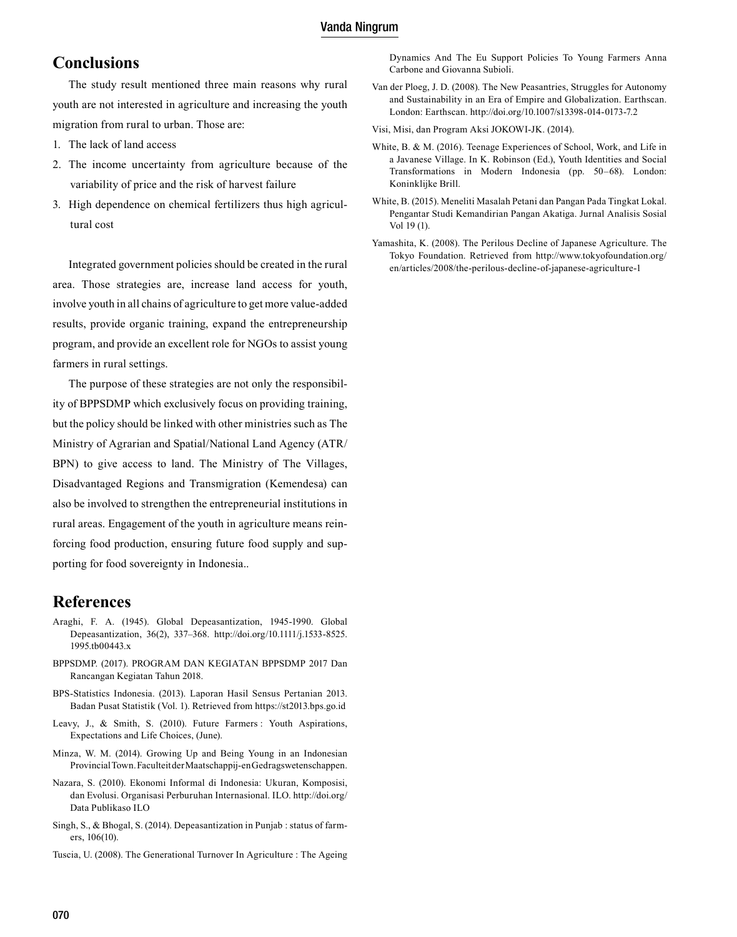#### Vanda Ningrum

# **Conclusions**

The study result mentioned three main reasons why rural youth are not interested in agriculture and increasing the youth migration from rural to urban. Those are:

- 1. The lack of land access
- 2. The income uncertainty from agriculture because of the variability of price and the risk of harvest failure
- 3. High dependence on chemical fertilizers thus high agricultural cost

Integrated government policies should be created in the rural area. Those strategies are, increase land access for youth, involve youth in all chains of agriculture to get more value-added results, provide organic training, expand the entrepreneurship program, and provide an excellent role for NGOs to assist young farmers in rural settings.

The purpose of these strategies are not only the responsibility of BPPSDMP which exclusively focus on providing training, but the policy should be linked with other ministries such as The Ministry of Agrarian and Spatial/National Land Agency (ATR/ BPN) to give access to land. The Ministry of The Villages, Disadvantaged Regions and Transmigration (Kemendesa) can also be involved to strengthen the entrepreneurial institutions in rural areas. Engagement of the youth in agriculture means reinforcing food production, ensuring future food supply and supporting for food sovereignty in Indonesia..

### **References**

- Araghi, F. A. (1945). Global Depeasantization, 1945-1990. Global Depeasantization, 36(2), 337–368. http://doi.org/10.1111/j.1533-8525. 1995.tb00443.x
- BPPSDMP. (2017). PROGRAM DAN KEGIATAN BPPSDMP 2017 Dan Rancangan Kegiatan Tahun 2018.
- BPS-Statistics Indonesia. (2013). Laporan Hasil Sensus Pertanian 2013. Badan Pusat Statistik (Vol. 1). Retrieved from https://st2013.bps.go.id
- Leavy, J., & Smith, S. (2010). Future Farmers : Youth Aspirations, Expectations and Life Choices, (June).
- Minza, W. M. (2014). Growing Up and Being Young in an Indonesian Provincial Town. Faculteit der Maatschappij-en Gedragswetenschappen.
- Nazara, S. (2010). Ekonomi Informal di Indonesia: Ukuran, Komposisi, dan Evolusi. Organisasi Perburuhan Internasional. ILO. http://doi.org/ Data Publikaso ILO
- Singh, S., & Bhogal, S. (2014). Depeasantization in Punjab : status of farmers, 106(10).

Tuscia, U. (2008). The Generational Turnover In Agriculture : The Ageing

Dynamics And The Eu Support Policies To Young Farmers Anna Carbone and Giovanna Subioli.

- Van der Ploeg, J. D. (2008). The New Peasantries, Struggles for Autonomy and Sustainability in an Era of Empire and Globalization. Earthscan. London: Earthscan. http://doi.org/10.1007/s13398-014-0173-7.2
- Visi, Misi, dan Program Aksi JOKOWI-JK. (2014).
- White, B. & M. (2016). Teenage Experiences of School, Work, and Life in a Javanese Village. In K. Robinson (Ed.), Youth Identities and Social Transformations in Modern Indonesia (pp. 50–68). London: Koninklijke Brill.
- White, B. (2015). Meneliti Masalah Petani dan Pangan Pada Tingkat Lokal. Pengantar Studi Kemandirian Pangan Akatiga. Jurnal Analisis Sosial Vol 19 (1).
- Yamashita, K. (2008). The Perilous Decline of Japanese Agriculture. The Tokyo Foundation. Retrieved from http://www.tokyofoundation.org/ en/articles/2008/the-perilous-decline-of-japanese-agriculture-1